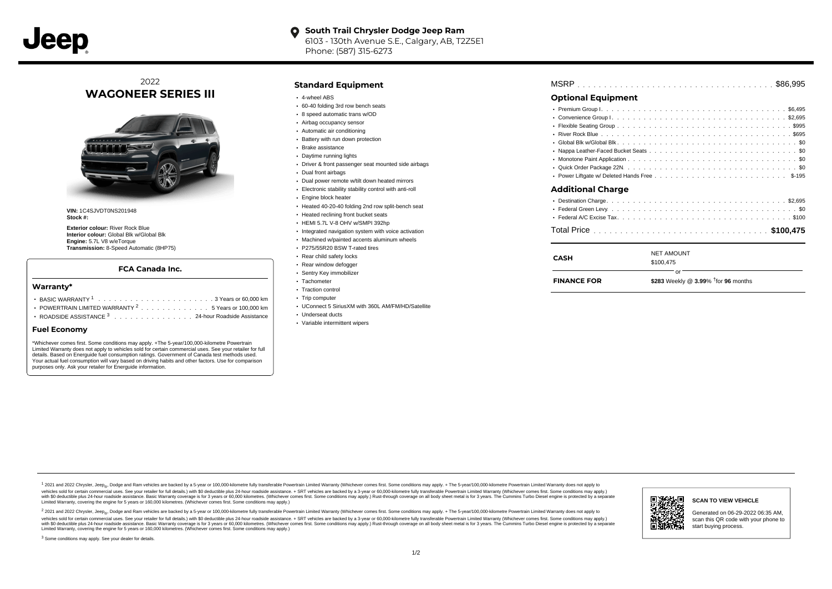

#### **South Trail Chrysler Dodge Jeep Ram**  $\bullet$ 6103 - 130th Avenue S.E., Calgary, AB, T2Z5E1 Phone: (587) 315-6273

## 2022 **WAGONEER SERIES III**



**VIN:** 1C4SJVDT0NS201948 **Stock #:**

**Exterior colour:** River Rock Blue **Interior colour:** Global Blk w/Global Blk **Engine:** 5.7L V8 w/eTorque **Transmission:** 8-Speed Automatic (8HP75)

### **FCA Canada Inc.**

#### **Warranty\***

- . . . . . . . . . . . . . . . . . . . . . . . . . . . . . . . . . . . . . . . . . . . BASIC WARRANTY <sup>1</sup> 3 Years or 60,000 km POWERTRAIN LIMITED WARRANTY  $2 \ldots \ldots \ldots \ldots \ldots 5$  Years or 100,000 km
- ROADSIDE ASSISTANCE 3 . . . . . . . . . . . . . . . 24-hour Roadside Assistance

#### **Fuel Economy**

\*Whichever comes first. Some conditions may apply. +The 5-year/100,000-kilometre Powertrain Limited Warranty does not apply to vehicles sold for certain commercial uses. See your retailer for full details. Based on Energuide fuel consumption ratings. Government of Canada test methods used. Your actual fuel consumption will vary based on driving habits and other factors. Use for comparison purposes only. Ask your retailer for Energuide information.

#### **Standard Equipment**

- 4-wheel ABS
- 60-40 folding 3rd row bench seats
- 8 speed automatic trans w/OD
- Airbag occupancy sensor
- Automatic air conditioning
- Battery with run down protection
- Brake assistance
- Daytime running lights
- Driver & front passenger seat mounted side airbags
- Dual front airbags
- Dual power remote w/tilt down heated mirrors
- Electronic stability stability control with anti-roll
- **Engine block heater**
- Heated 40-20-40 folding 2nd row split-bench seat
- **Heated reclining front bucket seats**
- HEMI 5.7L V-8 OHV w/SMPI 392hp
- Integrated navigation system with voice activation
- Machined w/painted accents aluminum wheels
- P275/55R20 BSW T-rated tires
- Rear child safety locks
- Rear window defogger
- Sentry Key immobilizer
- Tachometer • Traction control
- Trip computer
- UConnect 5 SiriusXM with 360L AM/FM/HD/Satellite
- Underseat ducts
- Variable intermittent wipers

| <b>Optional Equipment</b> |  |  |  |  |  |  |  |  |  |  |  |  |  |  |  |  |  |  |  |  |
|---------------------------|--|--|--|--|--|--|--|--|--|--|--|--|--|--|--|--|--|--|--|--|

## . . . . . . . . . . . . . . . . . . . . . . . . . . . . . . . . . . . . . . . . . . . . . . Premium Group I \$6,495 . . . . . . . . . . . . . . . . . . . . . . . . . . . . . . . . . . . . . . . . . . . . . . Convenience Group I \$2,695 Flexible Seating Group .................................9995 . . . . . . . . . . . . . . . . . . . . . . . . . . . . . . . . . . . . . . . . . . . . . . River Rock Blue \$695 . . . . . . . . . . . . . . . . . . . . . . . . . . . . . . . . . . . . . . . . . . . . . . Global Blk w/Global Blk \$0 Nappa Leather-Faced Bucket Seats .............................. . . . . . . . . . . . . . . . . . . . . . . . . . . . . . . . . . . . . . . . . . . . . . . Monotone Paint Application \$0 . . . . . . . . . . . . . . . . . . . . . . . . . . . . . . . . . . . . . . . . . . . . . . Quick Order Package 22N \$0 . . . . . . . . . . . . . . . . . . . . . . . . . . . . . . . . . . . . . . . . . . . . . . Power Liftgate w/ Deleted Hands Free \$-195 . . . . . . . . . . . . . . . . . . . . . . . . . . . . . . . . . . . . . . . . . . . . . . Destination Charge \$2,695 . . . . . . . . . . . . . . . . . . . . . . . . . . . . . . . . . . . . . . . . . . . . . . Federal Green Levy \$0 . . . . . . . . . . . . . . . . . . . . . . . . . . . . . . . . . . . . . . . . . . . . . . Federal A/C Excise Tax \$100 **Additional Charge**

## . . . . . . . . . . . . . . . . . . . . . . . . . . . . . . . . . . . . . . . . . . . . . . Total Price **\$100,475**

| <b>CASH</b>        | <b>NET AMOUNT</b><br>\$100.475                        |
|--------------------|-------------------------------------------------------|
| <b>FINANCE FOR</b> | Ωr<br>\$283 Weekly @ 3.99% <sup>T</sup> for 96 months |

1 2021 and 2022 Chrysler, Jeep<sub>en</sub> Dodge and Ram vehicles are backed by a 5-year or 100,000-kilometre fully transferable Powertrain Limited Warranty (Whichever comes first. Some conditions may apply. + The 5-year/100,000-k vehicles sold for certain commercial uses. See your retailer for full details.) with \$0 deductible plus 24-hour madside assistance. + SRT vehicles are backed by a 3-year or 60.000-kilometre fully transferable Powertrain Li ventals and contract when the contract when the contract you contract when the contract when the control of the set of a set of a set of a set of 3 years of 60,000 kilometres. Whichever comes first. Some conditions may app Limited Warranty, covering the engine for 5 years or 160,000 kilometres. (Whichever comes first. Some conditions may apply.)

2 2021 and 2022 Chrysler, Jeep<sub>es</sub> Dodge and Ram vehicles are backed by a 5-year or 100,000-kilometre fully transferable Powertrain Limited Warranty (Whichever comes first. Some conditions may apply. + The 5-year/100,000-k vehicles sold for certain commercial uses. See your retailer for full details.) with SO deductible plus 24-hour roadside assistance. + SRT vehicles are backed by a 3-year or 60.000-kilometre fully transferable Powertrain L with S0 deductible plus 24-hour roadside assistance. Basic Warranty coverage is for 3 years or 60,000 kilometres. (Whichever comes first. Some conditions may apply.) Rust-through coverage on all body sheet metal is for 3 y



#### **SCAN TO VIEW VEHICLE**

Generated on 06-29-2022 06:35 AM, scan this QR code with your phone to start buying process.

<sup>3</sup> Some conditions may apply. See your dealer for details.